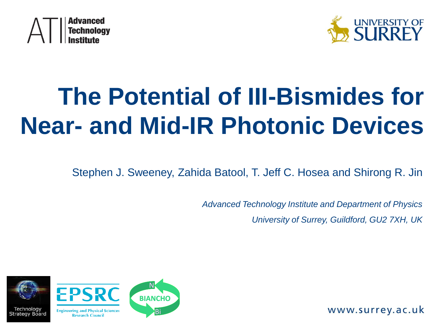



# **The Potential of III-Bismides for Near- and Mid-IR Photonic Devices**

Stephen J. Sweeney, Zahida Batool, T. Jeff C. Hosea and Shirong R. Jin

*Advanced Technology Institute and Department of Physics University of Surrey, Guildford, GU2 7XH, UK*

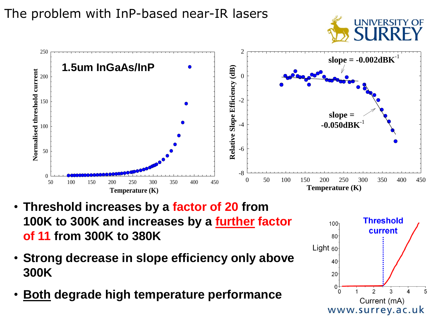#### The problem with InP-based near-IR lasers





- **Threshold increases by a factor of 20 from 100K to 300K and increases by a further factor of 11 from 300K to 380K**
- **Strong decrease in slope efficiency only above 300K**
- **Both degrade high temperature performance**

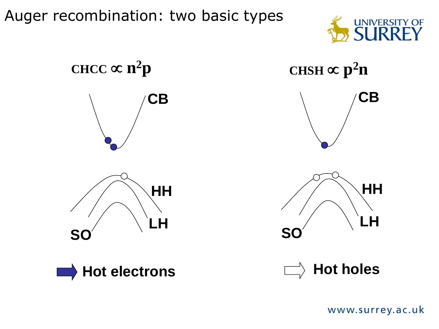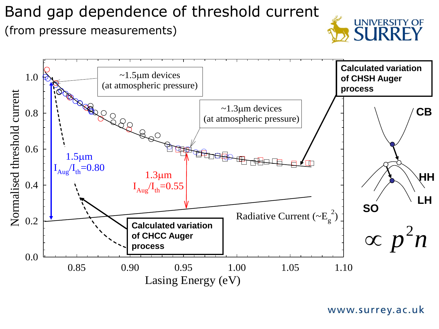#### Band gap dependence of threshold current (from pressure measurements)



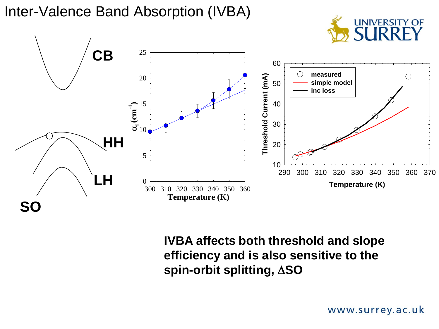Inter-Valence Band Absorption (IVBA)



**To (K)** 50 **spin-orbit splitting, SO** 60 **efficiency and is also sensitive to the**   $h<sub>0</sub>$ **inc loss IVBA affects both threshold and slope**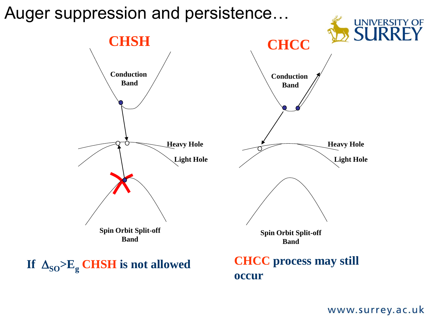#### Auger suppression and persistence…**UNIVERSITY OF SURRI CHSH CHCC Conduction Conduction Band Band Heavy Hole Heavy Hole Light Hole Light Hole Spin Orbit Split-off Spin Orbit Split-off Band Band**

If  $\Delta_{SO} > E_{g}$  **CHSH** is not allowed

#### **CHCC process may still occur**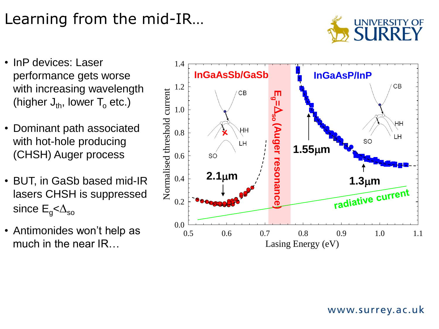## Learning from the mid-IR…



- InP devices: Laser 1.4 performance gets worse with increasing wavelength (higher  $J_{th}$ , lower  $T_0$  etc.)
- Dominant path associated with hot-hole producing (CHSH) Auger process
- BUT, in GaSb based mid-IR lasers CHSH is suppressed since  $E_q<\Delta_{so}$
- Antimonides won't help as much in the near IR…

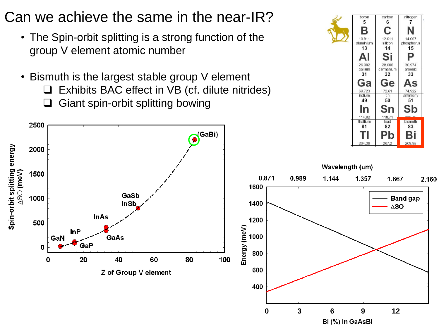#### Can we achieve the same in the near-IR?

- The Spin-orbit splitting is a strong function of the group V element atomic number
- Bismuth is the largest stable group V element Exhibits BAC effect in VB (cf. dilute nitrides)  $\Box$  Giant spin-orbit splitting bowing

2500



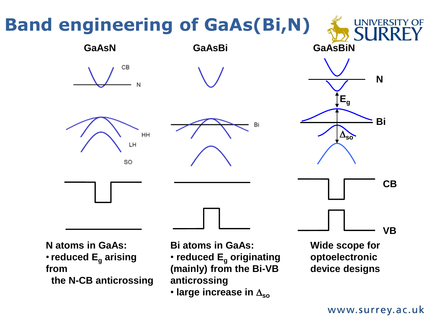# **Band engineering of GaAs(Bi,N)**

CВ

HH

LH

SO



**N atoms in GaAs:** •**reduced E<sup>g</sup> arising from the N-CB anticrossing**

**Bi atoms in GaAs:**

• **reduced E<sup>g</sup> originating (mainly) from the Bi-VB anticrossing**

 $\cdot$  large increase in  $\Delta_{\text{so}}$ 

**Wide scope for optoelectronic device designs**

**CB**

**VB**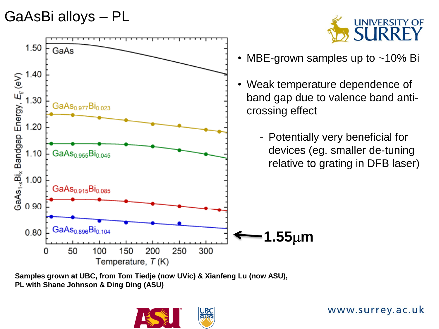#### GaAsBi alloys – PL



**Samples grown at UBC, from Tom Tiedje (now UVic) & Xianfeng Lu (now ASU), PL with Shane Johnson & Ding Ding (ASU)**



www.surrey.ac.uk

**UNIVERSITY OF**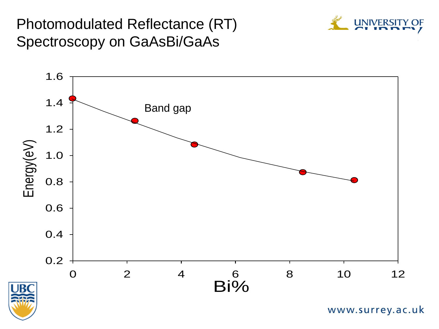#### Spectroscopy on GaAsBi/GaAs Photomodulated Reflectance (RT)



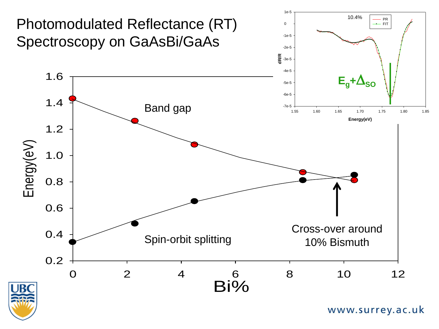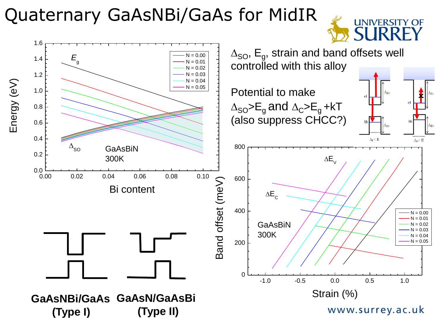### Quaternary GaAsNBi/GaAs for MidIR